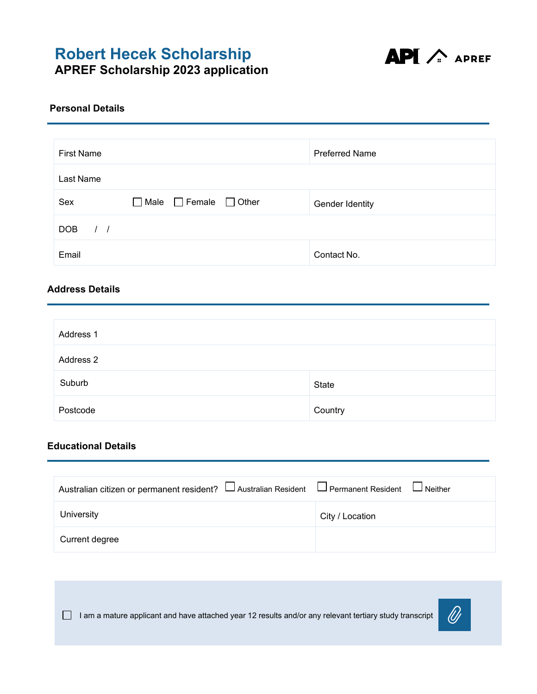

#### **Personal Details**

| <b>First Name</b>              |                                              | <b>Preferred Name</b> |
|--------------------------------|----------------------------------------------|-----------------------|
| Last Name                      |                                              |                       |
| Sex                            | $\Box$ Female<br>$\Box$ Male<br>$\Box$ Other | Gender Identity       |
| <b>DOB</b><br>$\left  \right $ |                                              |                       |
| Email                          |                                              | Contact No.           |

#### **Address Details**

| Address 1 |         |  |
|-----------|---------|--|
| Address 2 |         |  |
| Suburb    | State   |  |
| Postcode  | Country |  |

#### **Educational Details**

| Australian citizen or permanent resident? □ Australian Resident □ Permanent Resident □ Neither |                 |
|------------------------------------------------------------------------------------------------|-----------------|
| University                                                                                     | City / Location |
| Current degree                                                                                 |                 |

 $\Box$  I am a mature applicant and have attached year 12 results and/or any relevant tertiary study transcript

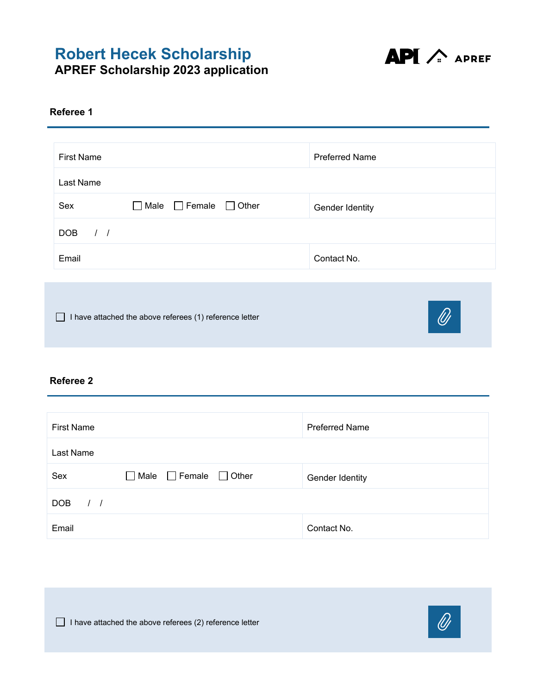

#### **Referee 1**

| <b>First Name</b>           |                                        | <b>Preferred Name</b> |
|-----------------------------|----------------------------------------|-----------------------|
| Last Name                   |                                        |                       |
| Sex                         | $\Box$ Male $\Box$ Female $\Box$ Other | Gender Identity       |
| <b>DOB</b><br>$\frac{1}{2}$ |                                        |                       |
| Email                       |                                        | Contact No.           |
|                             |                                        |                       |
|                             |                                        |                       |

□ I have attached the above referees (1) reference letter



#### **Referee 2**

| <b>First Name</b>              |                                           | <b>Preferred Name</b> |
|--------------------------------|-------------------------------------------|-----------------------|
| Last Name                      |                                           |                       |
| Sex                            | $\Box$ Female $\Box$ Other<br>$\Box$ Male | Gender Identity       |
| <b>DOB</b><br>$\left  \right $ |                                           |                       |
| Email                          |                                           | Contact No.           |

□ I have attached the above referees (2) reference letter

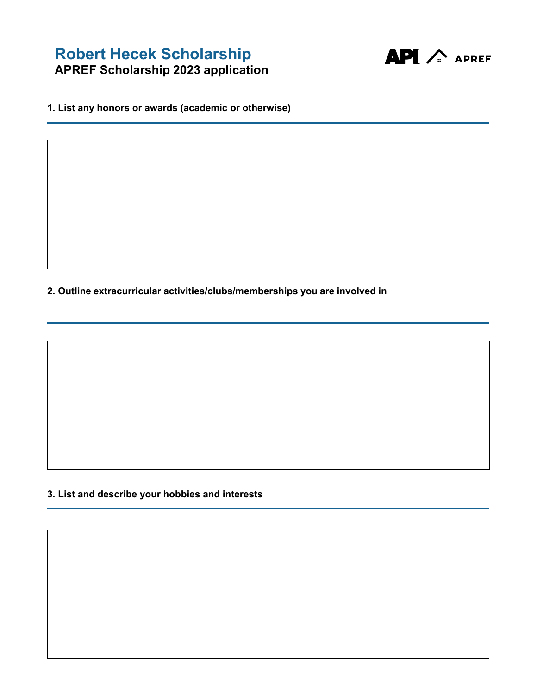

**1. List any honors or awards (academic or otherwise)**

**2. Outline extracurricular activities/clubs/memberships you are involved in**

**3. List and describe your hobbies and interests**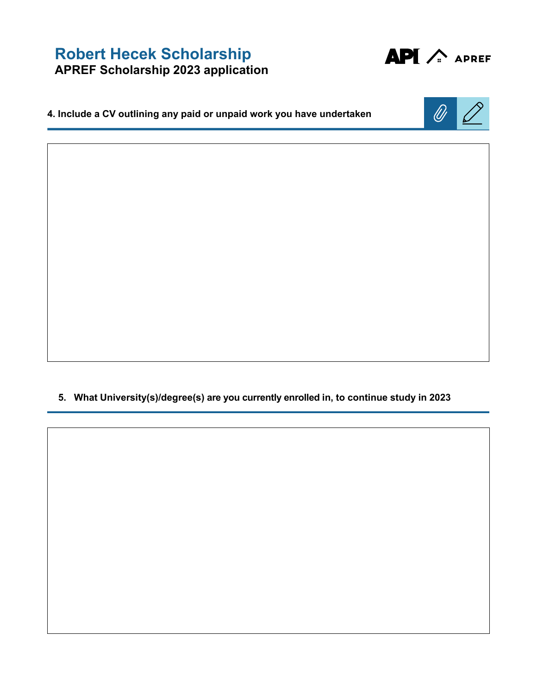

**4. Include a CV outlining any paid or unpaid work you have undertaken**



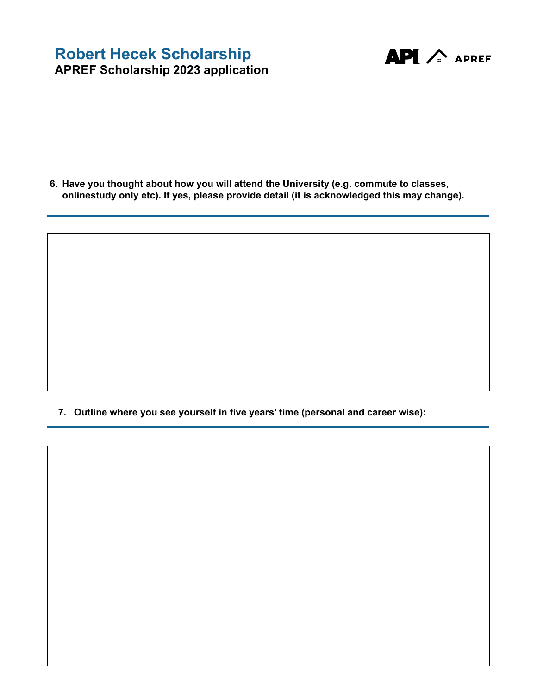

**6. Have you thought about how you will attend the University (e.g. commute to classes, onlinestudy only etc). If yes, please provide detail (it is acknowledged this may change).**

**7. Outline where you see yourself in five years' time (personal and career wise):**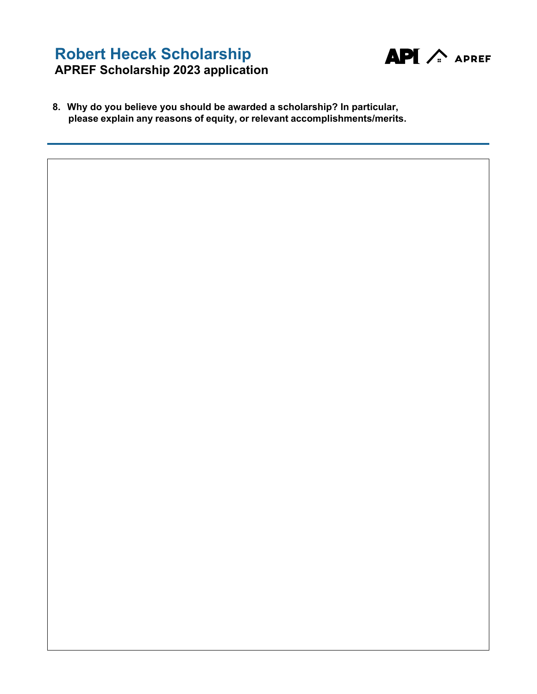

**8. Why do you believe you should be awarded a scholarship? In particular, please explain any reasons of equity, or relevant accomplishments/merits.**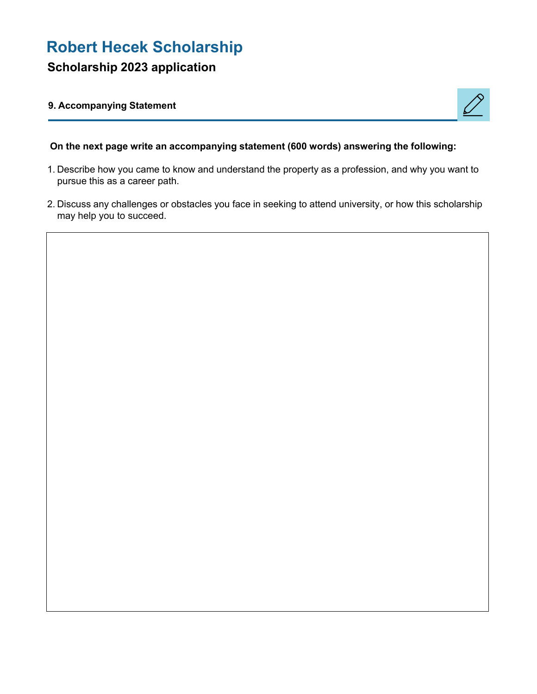# **Robert Hecek Scholarship**

## **Scholarship 2023 application**

#### **9. Accompanying Statement**



#### **On the next page write an accompanying statement (600 words) answering the following:**

- 1. Describe how you came to know and understand the property as a profession, and why you want to pursue this as a career path.
- 2. Discuss any challenges or obstacles you face in seeking to attend university, or how this scholarship may help you to succeed.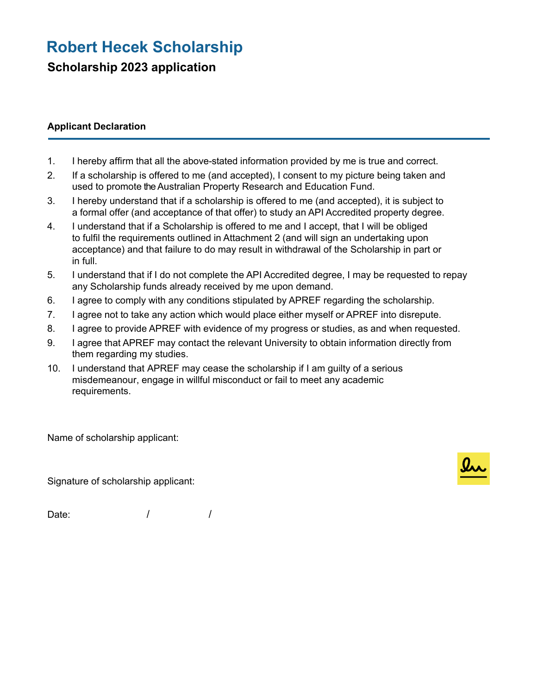# **Robert Hecek Scholarship**

**Scholarship 2023 application**

#### **Applicant Declaration**

- 1. I hereby affirm that all the above-stated information provided by me is true and correct.
- 2. If a scholarship is offered to me (and accepted), I consent to my picture being taken and used to promote the Australian Property Research and Education Fund.
- 3. I hereby understand that if a scholarship is offered to me (and accepted), it is subject to a formal offer (and acceptance of that offer) to study an API Accredited property degree.
- 4. I understand that if a Scholarship is offered to me and I accept, that I will be obliged to fulfil the requirements outlined in Attachment 2 (and will sign an undertaking upon acceptance) and that failure to do may result in withdrawal of the Scholarship in part or in full.
- 5. I understand that if I do not complete the API Accredited degree, I may be requested to repay any Scholarship funds already received by me upon demand.
- 6. I agree to comply with any conditions stipulated by APREF regarding the scholarship.
- 7. I agree not to take any action which would place either myself or APREF into disrepute.
- 8. I agree to provide APREF with evidence of my progress or studies, as and when requested.
- 9. I agree that APREF may contact the relevant University to obtain information directly from them regarding my studies.
- 10. I understand that APREF may cease the scholarship if I am guilty of a serious misdemeanour, engage in willful misconduct or fail to meet any academic requirements.

Name of scholarship applicant:

Signature of scholarship applicant:

Date: / / /

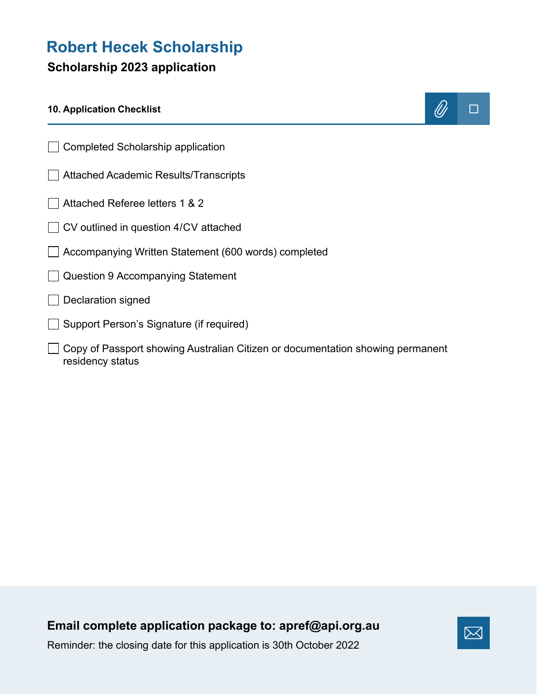# **Robert Hecek Scholarship**

## **Scholarship 2023 application**

### **10. Application Checklist**



- Completed Scholarship application
- Attached Academic Results/Transcripts
- Attached Referee letters 1 & 2
- ◯ CV outlined in question 4/CV attached
- Accompanying Written Statement (600 words) completed
- Question 9 Accompanying Statement
- $\Box$  Declaration signed
- □ Support Person's Signature (if required)
- □ Copy of Passport showing Australian Citizen or documentation showing permanent residency status

## **Email complete application package to: [apref@api.org.au](mailto:apref@api.org.au)**



Reminder: the closing date for this application is 30th October 2022